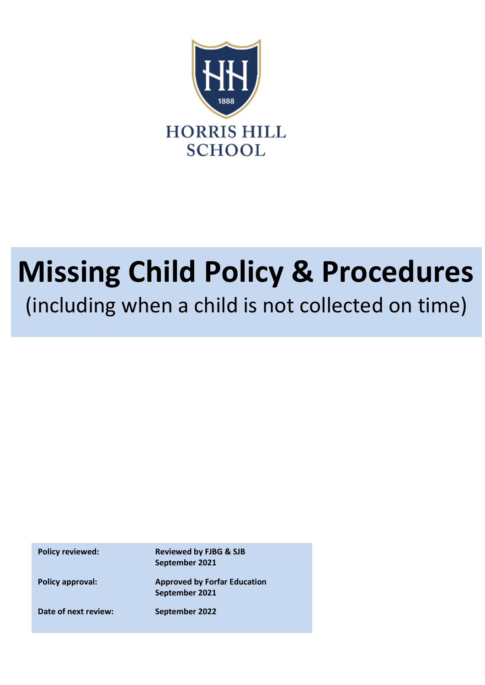

# **Missing Child Policy & Procedures**

(including when a child is not collected on time)

**Policy reviewed: Reviewed by FJBG & SJB September 2021**

**Policy approval: Approved by Forfar Education September 2021**

**Date of next review: September 2022**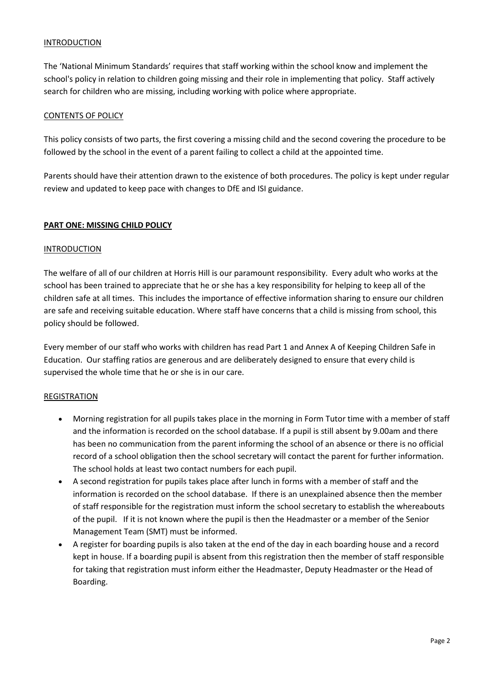## INTRODUCTION

The 'National Minimum Standards' requires that staff working within the school know and implement the school's policy in relation to children going missing and their role in implementing that policy. Staff actively search for children who are missing, including working with police where appropriate.

## CONTENTS OF POLICY

This policy consists of two parts, the first covering a missing child and the second covering the procedure to be followed by the school in the event of a parent failing to collect a child at the appointed time.

Parents should have their attention drawn to the existence of both procedures. The policy is kept under regular review and updated to keep pace with changes to DfE and ISI guidance.

## **PART ONE: MISSING CHILD POLICY**

#### **INTRODUCTION**

The welfare of all of our children at Horris Hill is our paramount responsibility. Every adult who works at the school has been trained to appreciate that he or she has a key responsibility for helping to keep all of the children safe at all times. This includes the importance of effective information sharing to ensure our children are safe and receiving suitable education. Where staff have concerns that a child is missing from school, this policy should be followed.

Every member of our staff who works with children has read Part 1 and Annex A of Keeping Children Safe in Education. Our staffing ratios are generous and are deliberately designed to ensure that every child is supervised the whole time that he or she is in our care.

#### REGISTRATION

- Morning registration for all pupils takes place in the morning in Form Tutor time with a member of staff and the information is recorded on the school database. If a pupil is still absent by 9.00am and there has been no communication from the parent informing the school of an absence or there is no official record of a school obligation then the school secretary will contact the parent for further information. The school holds at least two contact numbers for each pupil.
- A second registration for pupils takes place after lunch in forms with a member of staff and the information is recorded on the school database. If there is an unexplained absence then the member of staff responsible for the registration must inform the school secretary to establish the whereabouts of the pupil. If it is not known where the pupil is then the Headmaster or a member of the Senior Management Team (SMT) must be informed.
- A register for boarding pupils is also taken at the end of the day in each boarding house and a record kept in house. If a boarding pupil is absent from this registration then the member of staff responsible for taking that registration must inform either the Headmaster, Deputy Headmaster or the Head of Boarding.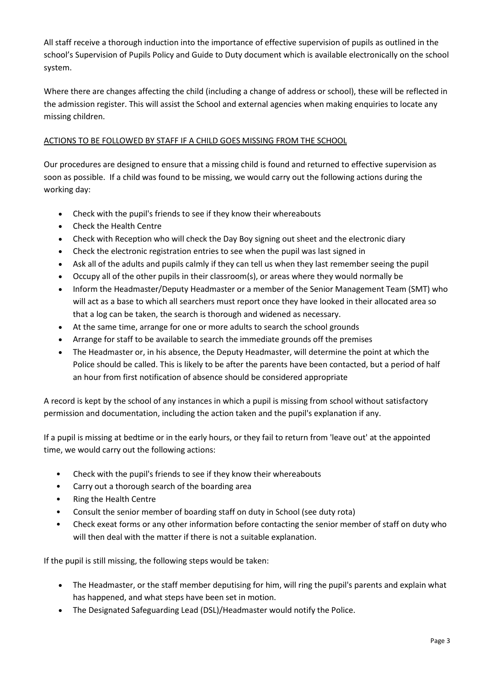All staff receive a thorough induction into the importance of effective supervision of pupils as outlined in the school's Supervision of Pupils Policy and Guide to Duty document which is available electronically on the school system.

Where there are changes affecting the child (including a change of address or school), these will be reflected in the admission register. This will assist the School and external agencies when making enquiries to locate any missing children.

# ACTIONS TO BE FOLLOWED BY STAFF IF A CHILD GOES MISSING FROM THE SCHOOL

Our procedures are designed to ensure that a missing child is found and returned to effective supervision as soon as possible. If a child was found to be missing, we would carry out the following actions during the working day:

- Check with the pupil's friends to see if they know their whereabouts
- Check the Health Centre
- Check with Reception who will check the Day Boy signing out sheet and the electronic diary
- Check the electronic registration entries to see when the pupil was last signed in
- Ask all of the adults and pupils calmly if they can tell us when they last remember seeing the pupil
- Occupy all of the other pupils in their classroom(s), or areas where they would normally be
- Inform the Headmaster/Deputy Headmaster or a member of the Senior Management Team (SMT) who will act as a base to which all searchers must report once they have looked in their allocated area so that a log can be taken, the search is thorough and widened as necessary.
- At the same time, arrange for one or more adults to search the school grounds
- Arrange for staff to be available to search the immediate grounds off the premises
- The Headmaster or, in his absence, the Deputy Headmaster, will determine the point at which the Police should be called. This is likely to be after the parents have been contacted, but a period of half an hour from first notification of absence should be considered appropriate

A record is kept by the school of any instances in which a pupil is missing from school without satisfactory permission and documentation, including the action taken and the pupil's explanation if any.

If a pupil is missing at bedtime or in the early hours, or they fail to return from 'leave out' at the appointed time, we would carry out the following actions:

- Check with the pupil's friends to see if they know their whereabouts
- Carry out a thorough search of the boarding area
- Ring the Health Centre
- Consult the senior member of boarding staff on duty in School (see duty rota)
- Check exeat forms or any other information before contacting the senior member of staff on duty who will then deal with the matter if there is not a suitable explanation.

If the pupil is still missing, the following steps would be taken:

- The Headmaster, or the staff member deputising for him, will ring the pupil's parents and explain what has happened, and what steps have been set in motion.
- The Designated Safeguarding Lead (DSL)/Headmaster would notify the Police.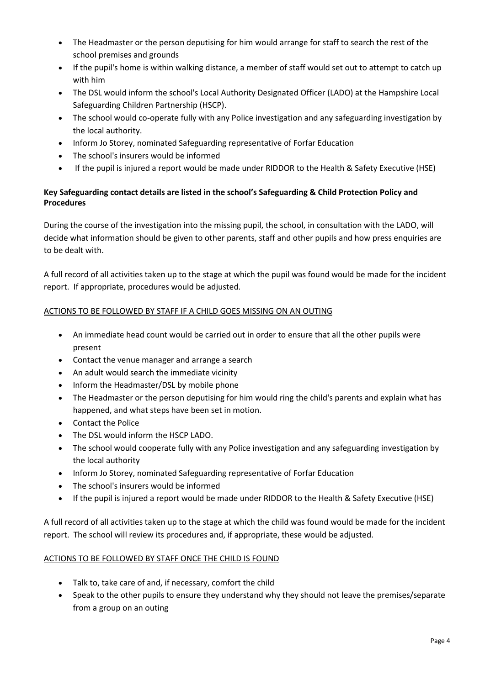- The Headmaster or the person deputising for him would arrange for staff to search the rest of the school premises and grounds
- If the pupil's home is within walking distance, a member of staff would set out to attempt to catch up with him
- The DSL would inform the school's Local Authority Designated Officer (LADO) at the Hampshire Local Safeguarding Children Partnership (HSCP).
- The school would co-operate fully with any Police investigation and any safeguarding investigation by the local authority.
- Inform Jo Storey, nominated Safeguarding representative of Forfar Education
- The school's insurers would be informed
- If the pupil is injured a report would be made under RIDDOR to the Health & Safety Executive (HSE)

# **Key Safeguarding contact details are listed in the school's Safeguarding & Child Protection Policy and Procedures**

During the course of the investigation into the missing pupil, the school, in consultation with the LADO, will decide what information should be given to other parents, staff and other pupils and how press enquiries are to be dealt with.

A full record of all activities taken up to the stage at which the pupil was found would be made for the incident report. If appropriate, procedures would be adjusted.

# ACTIONS TO BE FOLLOWED BY STAFF IF A CHILD GOES MISSING ON AN OUTING

- An immediate head count would be carried out in order to ensure that all the other pupils were present
- Contact the venue manager and arrange a search
- An adult would search the immediate vicinity
- Inform the Headmaster/DSL by mobile phone
- The Headmaster or the person deputising for him would ring the child's parents and explain what has happened, and what steps have been set in motion.
- Contact the Police
- The DSL would inform the HSCP LADO.
- The school would cooperate fully with any Police investigation and any safeguarding investigation by the local authority
- Inform Jo Storey, nominated Safeguarding representative of Forfar Education
- The school's insurers would be informed
- If the pupil is injured a report would be made under RIDDOR to the Health & Safety Executive (HSE)

A full record of all activities taken up to the stage at which the child was found would be made for the incident report. The school will review its procedures and, if appropriate, these would be adjusted.

# ACTIONS TO BE FOLLOWED BY STAFF ONCE THE CHILD IS FOUND

- Talk to, take care of and, if necessary, comfort the child
- Speak to the other pupils to ensure they understand why they should not leave the premises/separate from a group on an outing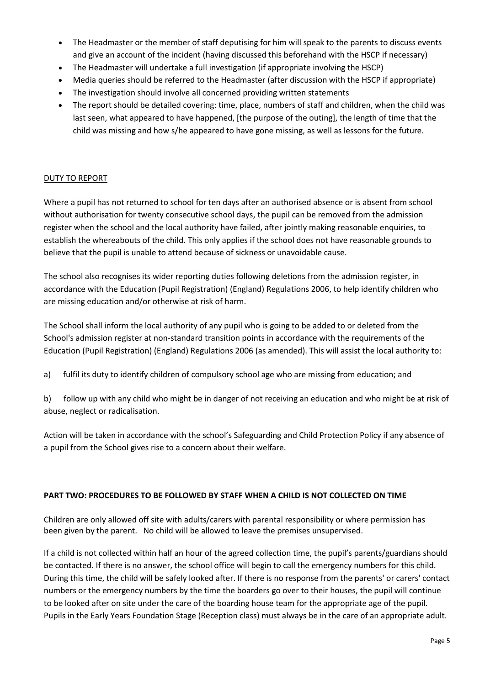- The Headmaster or the member of staff deputising for him will speak to the parents to discuss events and give an account of the incident (having discussed this beforehand with the HSCP if necessary)
- The Headmaster will undertake a full investigation (if appropriate involving the HSCP)
- Media queries should be referred to the Headmaster (after discussion with the HSCP if appropriate)
- The investigation should involve all concerned providing written statements
- The report should be detailed covering: time, place, numbers of staff and children, when the child was last seen, what appeared to have happened, [the purpose of the outing], the length of time that the child was missing and how s/he appeared to have gone missing, as well as lessons for the future.

# DUTY TO REPORT

Where a pupil has not returned to school for ten days after an authorised absence or is absent from school without authorisation for twenty consecutive school days, the pupil can be removed from the admission register when the school and the local authority have failed, after jointly making reasonable enquiries, to establish the whereabouts of the child. This only applies if the school does not have reasonable grounds to believe that the pupil is unable to attend because of sickness or unavoidable cause.

The school also recognises its wider reporting duties following deletions from the admission register, in accordance with the Education (Pupil Registration) (England) Regulations 2006, to help identify children who are missing education and/or otherwise at risk of harm.

The School shall inform the local authority of any pupil who is going to be added to or deleted from the School's admission register at non-standard transition points in accordance with the requirements of the Education (Pupil Registration) (England) Regulations 2006 (as amended). This will assist the local authority to:

a) fulfil its duty to identify children of compulsory school age who are missing from education; and

b) follow up with any child who might be in danger of not receiving an education and who might be at risk of abuse, neglect or radicalisation.

Action will be taken in accordance with the school's Safeguarding and Child Protection Policy if any absence of a pupil from the School gives rise to a concern about their welfare.

# **PART TWO: PROCEDURES TO BE FOLLOWED BY STAFF WHEN A CHILD IS NOT COLLECTED ON TIME**

Children are only allowed off site with adults/carers with parental responsibility or where permission has been given by the parent. No child will be allowed to leave the premises unsupervised.

If a child is not collected within half an hour of the agreed collection time, the pupil's parents/guardians should be contacted. If there is no answer, the school office will begin to call the emergency numbers for this child. During this time, the child will be safely looked after. If there is no response from the parents' or carers' contact numbers or the emergency numbers by the time the boarders go over to their houses, the pupil will continue to be looked after on site under the care of the boarding house team for the appropriate age of the pupil. Pupils in the Early Years Foundation Stage (Reception class) must always be in the care of an appropriate adult.